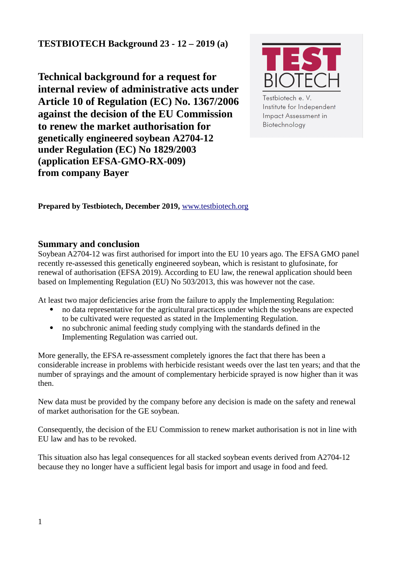**TESTBIOTECH Background 23 - 12 – 2019 (a)** 

**Technical background for a request for internal review of administrative acts under Article 10 of Regulation (EC) No. 1367/2006 against the decision of the EU Commission to renew the market authorisation for genetically engineered soybean A2704-12 under Regulation (EC) No 1829/2003 (application EFSA-GMO-RX-009) from company Bayer**



Testbiotech e. V. Institute for Independent **Impact Assessment in** Biotechnology

**Prepared by Testbiotech, December 2019,** [www.testbiotech.org](http://www.testbiotech.org/)

## **Summary and conclusion**

Soybean A2704-12 was first authorised for import into the EU 10 years ago. The EFSA GMO panel recently re-assessed this genetically engineered soybean, which is resistant to glufosinate, for renewal of authorisation (EFSA 2019). According to EU law, the renewal application should been based on Implementing Regulation (EU) No 503/2013, this was however not the case.

At least two major deficiencies arise from the failure to apply the Implementing Regulation:

- no data representative for the agricultural practices under which the soybeans are expected to be cultivated were requested as stated in the Implementing Regulation.
- no subchronic animal feeding study complying with the standards defined in the Implementing Regulation was carried out.

More generally, the EFSA re-assessment completely ignores the fact that there has been a considerable increase in problems with herbicide resistant weeds over the last ten years; and that the number of sprayings and the amount of complementary herbicide sprayed is now higher than it was then.

New data must be provided by the company before any decision is made on the safety and renewal of market authorisation for the GE soybean.

Consequently, the decision of the EU Commission to renew market authorisation is not in line with EU law and has to be revoked.

This situation also has legal consequences for all stacked soybean events derived from A2704-12 because they no longer have a sufficient legal basis for import and usage in food and feed.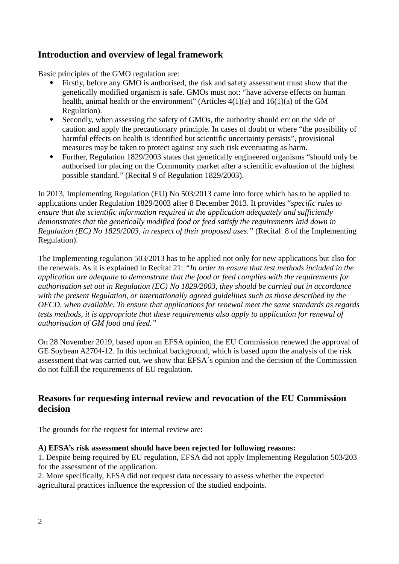# **Introduction and overview of legal framework**

Basic principles of the GMO regulation are:

- Firstly, before any GMO is authorised, the risk and safety assessment must show that the genetically modified organism is safe. GMOs must not: "have adverse effects on human health, animal health or the environment" (Articles 4(1)(a) and 16(1)(a) of the GM Regulation).
- Secondly, when assessing the safety of GMOs, the authority should err on the side of caution and apply the precautionary principle. In cases of doubt or where "the possibility of harmful effects on health is identified but scientific uncertainty persists", provisional measures may be taken to protect against any such risk eventuating as harm.
- Further, Regulation 1829/2003 states that genetically engineered organisms "should only be authorised for placing on the Community market after a scientific evaluation of the highest possible standard." (Recital 9 of Regulation 1829/2003).

In 2013, Implementing Regulation (EU) No 503/2013 came into force which has to be applied to applications under Regulation 1829/2003 after 8 December 2013. It provides "*specific rules to ensure that the scientific information required in the application adequately and sufficiently demonstrates that the genetically modified food or feed satisfy the requirements laid down in Regulation (EC) No 1829/2003, in respect of their proposed uses."* (Recital 8 of the Implementing Regulation).

The Implementing regulation 503/2013 has to be applied not only for new applications but also for the renewals. As it is explained in Recital 21: *"In order to ensure that test methods included in the application are adequate to demonstrate that the food or feed complies with the requirements for authorisation set out in Regulation (EC) No 1829/2003, they should be carried out in accordance with the present Regulation, or internationally agreed guidelines such as those described by the OECD, when available. To ensure that applications for renewal meet the same standards as regards tests methods, it is appropriate that these requirements also apply to application for renewal of authorisation of GM food and feed."*

On 28 November 2019, based upon an EFSA opinion, the EU Commission renewed the approval of GE Soybean A2704-12. In this technical background, which is based upon the analysis of the risk assessment that was carried out, we show that EFSA´s opinion and the decision of the Commission do not fulfill the requirements of EU regulation.

## **Reasons for requesting internal review and revocation of the EU Commission decision**

The grounds for the request for internal review are:

#### **A) EFSA's risk assessment should have been rejected for following reasons:**

1. Despite being required by EU regulation, EFSA did not apply Implementing Regulation 503/203 for the assessment of the application.

2. More specifically, EFSA did not request data necessary to assess whether the expected agricultural practices influence the expression of the studied endpoints.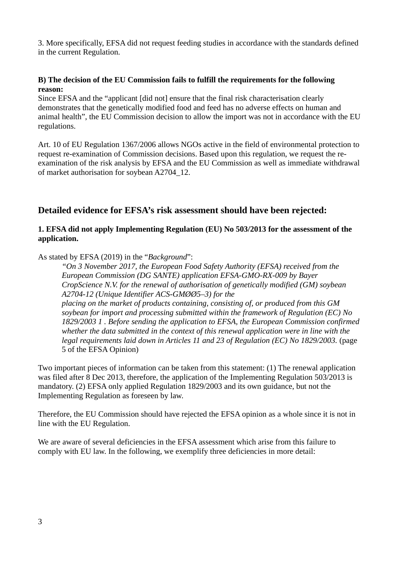3. More specifically, EFSA did not request feeding studies in accordance with the standards defined in the current Regulation.

#### **B) The decision of the EU Commission fails to fulfill the requirements for the following reason:**

Since EFSA and the "applicant [did not] ensure that the final risk characterisation clearly demonstrates that the genetically modified food and feed has no adverse effects on human and animal health", the EU Commission decision to allow the import was not in accordance with the EU regulations.

Art. 10 of EU Regulation 1367/2006 allows NGOs active in the field of environmental protection to request re-examination of Commission decisions. Based upon this regulation, we request the reexamination of the risk analysis by EFSA and the EU Commission as well as immediate withdrawal of market authorisation for soybean A2704\_12.

## **Detailed evidence for EFSA's risk assessment should have been rejected:**

#### **1. EFSA did not apply Implementing Regulation (EU) No 503/2013 for the assessment of the application.**

As stated by EFSA (2019) in the "*Background*":

*"On 3 November 2017, the European Food Safety Authority (EFSA) received from the European Commission (DG SANTE) application EFSA-GMO-RX-009 by Bayer CropScience N.V. for the renewal of authorisation of genetically modified (GM) soybean A2704-12 (Unique Identifier ACS-GMØØ5–3) for the placing on the market of products containing, consisting of, or produced from this GM soybean for import and processing submitted within the framework of Regulation (EC) No 1829/2003 1 . Before sending the application to EFSA, the European Commission confirmed whether the data submitted in the context of this renewal application were in line with the legal requirements laid down in Articles 11 and 23 of Regulation (EC) No 1829/2003.* (page 5 of the EFSA Opinion)

Two important pieces of information can be taken from this statement: (1) The renewal application was filed after 8 Dec 2013, therefore, the application of the Implementing Regulation 503/2013 is mandatory. (2) EFSA only applied Regulation 1829/2003 and its own guidance, but not the Implementing Regulation as foreseen by law.

Therefore, the EU Commission should have rejected the EFSA opinion as a whole since it is not in line with the EU Regulation.

We are aware of several deficiencies in the EFSA assessment which arise from this failure to comply with EU law. In the following, we exemplify three deficiencies in more detail: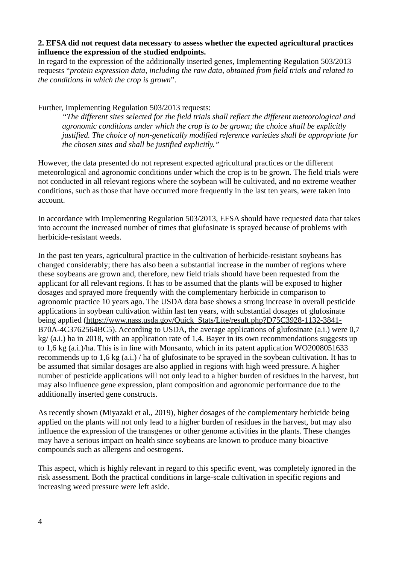#### **2. EFSA did not request data necessary to assess whether the expected agricultural practices influence the expression of the studied endpoints.**

In regard to the expression of the additionally inserted genes, Implementing Regulation 503/2013 requests "*protein expression data, including the raw data, obtained from field trials and related to the conditions in which the crop is grown*".

Further, Implementing Regulation 503/2013 requests:

*"The different sites selected for the field trials shall reflect the different meteorological and agronomic conditions under which the crop is to be grown; the choice shall be explicitly justified. The choice of non-genetically modified reference varieties shall be appropriate for the chosen sites and shall be justified explicitly."*

However, the data presented do not represent expected agricultural practices or the different meteorological and agronomic conditions under which the crop is to be grown. The field trials were not conducted in all relevant regions where the soybean will be cultivated, and no extreme weather conditions, such as those that have occurred more frequently in the last ten years, were taken into account.

In accordance with Implementing Regulation 503/2013, EFSA should have requested data that takes into account the increased number of times that glufosinate is sprayed because of problems with herbicide-resistant weeds.

In the past ten years, agricultural practice in the cultivation of herbicide-resistant soybeans has changed considerably; there has also been a substantial increase in the number of regions where these soybeans are grown and, therefore, new field trials should have been requested from the applicant for all relevant regions. It has to be assumed that the plants will be exposed to higher dosages and sprayed more frequently with the complementary herbicide in comparison to agronomic practice 10 years ago. The USDA data base shows a strong increase in overall pesticide applications in soybean cultivation within last ten years, with substantial dosages of glufosinate being applied [\(https://www.nass.usda.gov/Quick\\_Stats/Lite/result.php?D75C3928-1132-3841-](https://www.nass.usda.gov/Quick_Stats/Lite/result.php?D75C3928-1132-3841-B70A-4C3762564BC5) [B70A-4C3762564BC5\)](https://www.nass.usda.gov/Quick_Stats/Lite/result.php?D75C3928-1132-3841-B70A-4C3762564BC5). According to USDA, the average applications of glufosinate (a.i.) were 0,7 kg/ (a.i.) ha in 2018, with an application rate of 1,4. Bayer in its own recommendations suggests up to 1,6 kg (a.i.)/ha. This is in line with Monsanto, which in its patent application WO2008051633 recommends up to 1,6 kg (a.i.) / ha of glufosinate to be sprayed in the soybean cultivation. It has to be assumed that similar dosages are also applied in regions with high weed pressure. A higher number of pesticide applications will not only lead to a higher burden of residues in the harvest, but may also influence gene expression, plant composition and agronomic performance due to the additionally inserted gene constructs.

As recently shown (Miyazaki et al., 2019), higher dosages of the complementary herbicide being applied on the plants will not only lead to a higher burden of residues in the harvest, but may also influence the expression of the transgenes or other genome activities in the plants. These changes may have a serious impact on health since soybeans are known to produce many bioactive compounds such as allergens and oestrogens.

This aspect, which is highly relevant in regard to this specific event, was completely ignored in the risk assessment. Both the practical conditions in large-scale cultivation in specific regions and increasing weed pressure were left aside.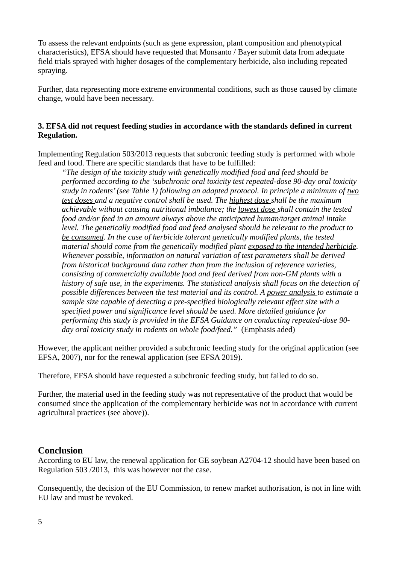To assess the relevant endpoints (such as gene expression, plant composition and phenotypical characteristics), EFSA should have requested that Monsanto / Bayer submit data from adequate field trials sprayed with higher dosages of the complementary herbicide, also including repeated spraying.

Further, data representing more extreme environmental conditions, such as those caused by climate change, would have been necessary.

#### **3. EFSA did not request feeding studies in accordance with the standards defined in current Regulation.**

Implementing Regulation 503/2013 requests that subcronic feeding study is performed with whole feed and food. There are specific standards that have to be fulfilled:

*"The design of the toxicity study with genetically modified food and feed should be performed according to the 'subchronic oral toxicity test repeated-dose 90-day oral toxicity study in rodents' (see Table 1) following an adapted protocol. In principle a minimum of two test doses and a negative control shall be used. The highest dose shall be the maximum achievable without causing nutritional imbalance; the lowest dose shall contain the tested food and/or feed in an amount always above the anticipated human/target animal intake level. The genetically modified food and feed analysed should be relevant to the product to be consumed. In the case of herbicide tolerant genetically modified plants, the tested material should come from the genetically modified plant exposed to the intended herbicide. Whenever possible, information on natural variation of test parameters shall be derived from historical background data rather than from the inclusion of reference varieties, consisting of commercially available food and feed derived from non-GM plants with a history of safe use, in the experiments. The statistical analysis shall focus on the detection of possible differences between the test material and its control. A power analysis to estimate a sample size capable of detecting a pre-specified biologically relevant effect size with a specified power and significance level should be used. More detailed guidance for performing this study is provided in the EFSA Guidance on conducting repeated-dose 90 day oral toxicity study in rodents on whole food/feed."* (Emphasis aded)

However, the applicant neither provided a subchronic feeding study for the original application (see EFSA, 2007), nor for the renewal application (see EFSA 2019).

Therefore, EFSA should have requested a subchronic feeding study, but failed to do so.

Further, the material used in the feeding study was not representative of the product that would be consumed since the application of the complementary herbicide was not in accordance with current agricultural practices (see above)).

### **Conclusion**

According to EU law, the renewal application for GE soybean A2704-12 should have been based on Regulation 503 /2013, this was however not the case.

Consequently, the decision of the EU Commission, to renew market authorisation, is not in line with EU law and must be revoked.